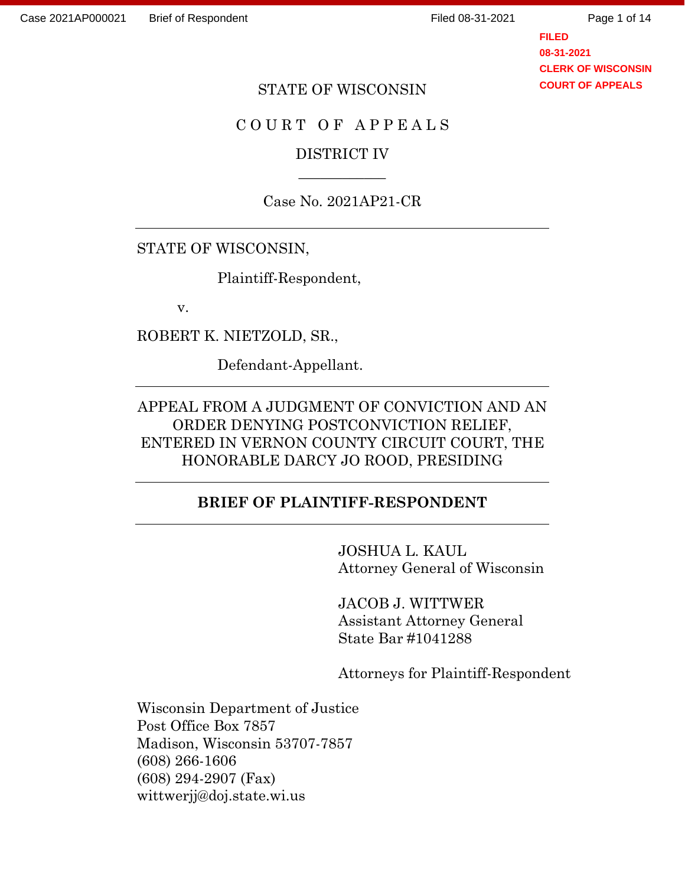**FILED 08-31-2021 CLERK OF WISCONSIN COURT OF APPEALS**

#### STATE OF WISCONSIN

# COURT OF APPEALS

# DISTRICT IV  $\overline{\phantom{a}}$

Case No. 2021AP21-CR

#### STATE OF WISCONSIN,

Plaintiff-Respondent,

v.

ROBERT K. NIETZOLD, SR.,

Defendant-Appellant.

# APPEAL FROM A JUDGMENT OF CONVICTION AND AN ORDER DENYING POSTCONVICTION RELIEF, ENTERED IN VERNON COUNTY CIRCUIT COURT, THE HONORABLE DARCY JO ROOD, PRESIDING

# **BRIEF OF PLAINTIFF-RESPONDENT**

JOSHUA L. KAUL Attorney General of Wisconsin

JACOB J. WITTWER Assistant Attorney General State Bar #1041288

Attorneys for Plaintiff-Respondent

Wisconsin Department of Justice Post Office Box 7857 Madison, Wisconsin 53707-7857 (608) 266-1606 (608) 294-2907 (Fax) wittwerjj@doj.state.wi.us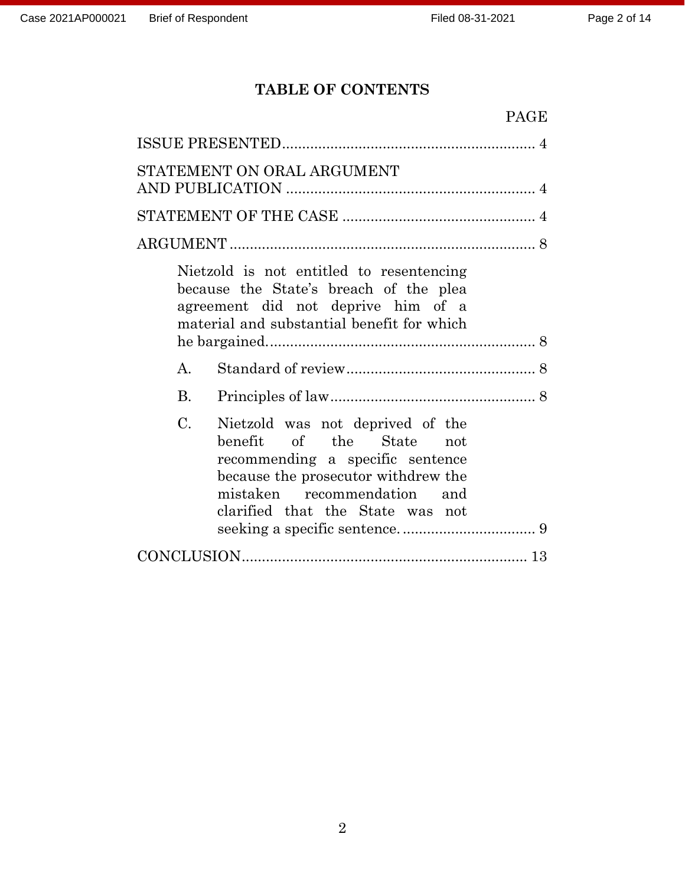# **TABLE OF CONTENTS**

| <b>PAGE</b>                                                                                                                                                                                                                      |
|----------------------------------------------------------------------------------------------------------------------------------------------------------------------------------------------------------------------------------|
|                                                                                                                                                                                                                                  |
| STATEMENT ON ORAL ARGUMENT                                                                                                                                                                                                       |
|                                                                                                                                                                                                                                  |
|                                                                                                                                                                                                                                  |
| Nietzold is not entitled to resentencing<br>because the State's breach of the plea<br>agreement did not deprive him of a<br>material and substantial benefit for which                                                           |
| $\mathsf{A}$ .                                                                                                                                                                                                                   |
| $\mathbf{B}$ .                                                                                                                                                                                                                   |
| $\mathcal{C}$ .<br>Nietzold was not deprived of the<br>benefit of the State<br>not<br>recommending a specific sentence<br>because the prosecutor withdrew the<br>mistaken recommendation and<br>clarified that the State was not |
|                                                                                                                                                                                                                                  |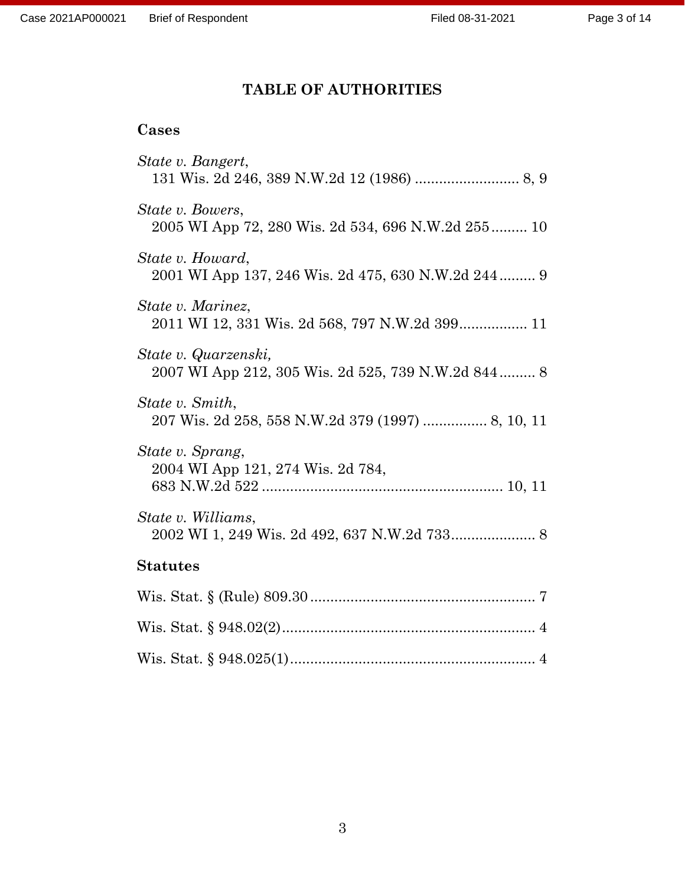# **TABLE OF AUTHORITIES**

# **Cases**

| State v. Bangert,                                                             |
|-------------------------------------------------------------------------------|
| <i>State v. Bowers,</i><br>2005 WI App 72, 280 Wis. 2d 534, 696 N.W.2d 255 10 |
| State v. Howard,<br>2001 WI App 137, 246 Wis. 2d 475, 630 N.W.2d 244 9        |
| State v. Marinez,<br>2011 WI 12, 331 Wis. 2d 568, 797 N.W.2d 399 11           |
| State v. Quarzenski,<br>2007 WI App 212, 305 Wis. 2d 525, 739 N.W.2d 844 8    |
| State v. Smith,<br>207 Wis. 2d 258, 558 N.W.2d 379 (1997)  8, 10, 11          |
| State v. Sprang,<br>2004 WI App 121, 274 Wis. 2d 784,                         |
| State v. Williams,                                                            |
| <b>Statutes</b>                                                               |
|                                                                               |
|                                                                               |
|                                                                               |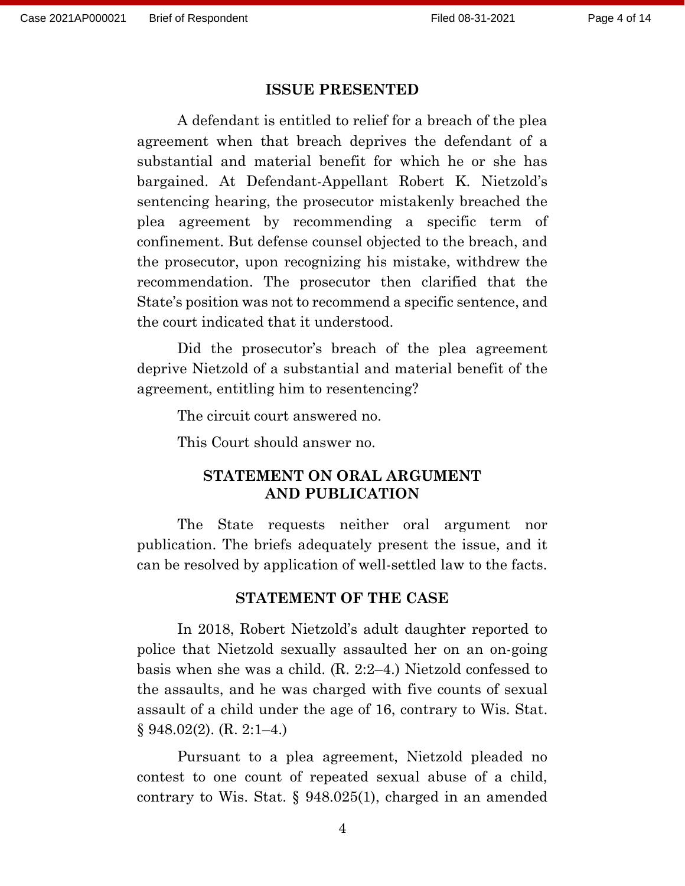#### **ISSUE PRESENTED**

A defendant is entitled to relief for a breach of the plea agreement when that breach deprives the defendant of a substantial and material benefit for which he or she has bargained. At Defendant-Appellant Robert K. Nietzold's sentencing hearing, the prosecutor mistakenly breached the plea agreement by recommending a specific term of confinement. But defense counsel objected to the breach, and the prosecutor, upon recognizing his mistake, withdrew the recommendation. The prosecutor then clarified that the State's position was not to recommend a specific sentence, and the court indicated that it understood.

Did the prosecutor's breach of the plea agreement deprive Nietzold of a substantial and material benefit of the agreement, entitling him to resentencing?

The circuit court answered no.

This Court should answer no.

# **STATEMENT ON ORAL ARGUMENT AND PUBLICATION**

The State requests neither oral argument nor publication. The briefs adequately present the issue, and it can be resolved by application of well-settled law to the facts.

## **STATEMENT OF THE CASE**

In 2018, Robert Nietzold's adult daughter reported to police that Nietzold sexually assaulted her on an on-going basis when she was a child. (R. 2:2–4.) Nietzold confessed to the assaults, and he was charged with five counts of sexual assault of a child under the age of 16, contrary to Wis. Stat. § 948.02(2). (R. 2:1–4.)

Pursuant to a plea agreement, Nietzold pleaded no contest to one count of repeated sexual abuse of a child, contrary to Wis. Stat. § 948.025(1), charged in an amended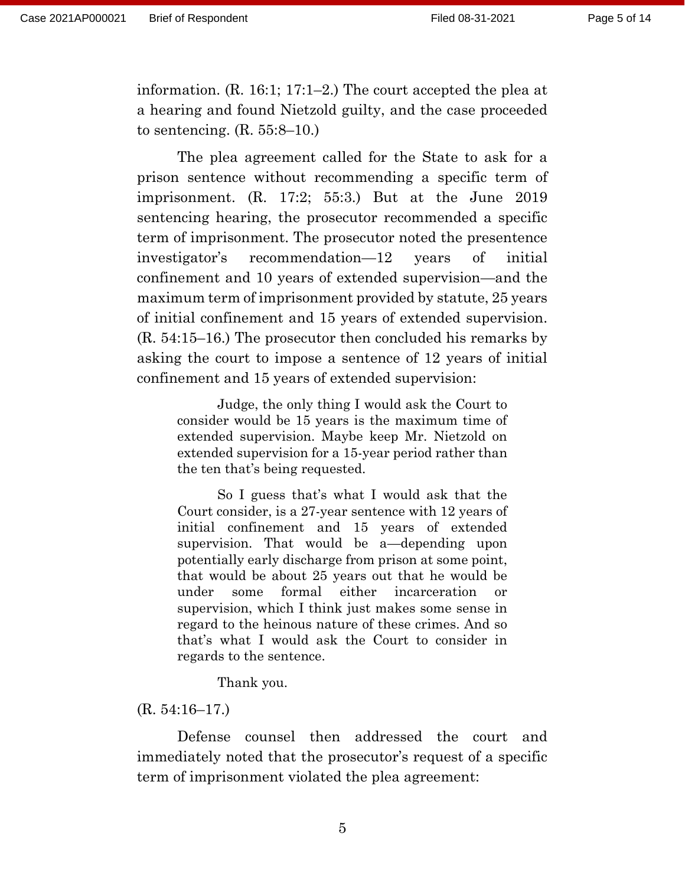information. (R. 16:1; 17:1–2.) The court accepted the plea at a hearing and found Nietzold guilty, and the case proceeded to sentencing.  $(R. 55:8-10)$ 

The plea agreement called for the State to ask for a prison sentence without recommending a specific term of imprisonment. (R. 17:2; 55:3.) But at the June 2019 sentencing hearing, the prosecutor recommended a specific term of imprisonment. The prosecutor noted the presentence investigator's recommendation—12 years of initial confinement and 10 years of extended supervision—and the maximum term of imprisonment provided by statute, 25 years of initial confinement and 15 years of extended supervision. (R. 54:15–16.) The prosecutor then concluded his remarks by asking the court to impose a sentence of 12 years of initial confinement and 15 years of extended supervision:

Judge, the only thing I would ask the Court to consider would be 15 years is the maximum time of extended supervision. Maybe keep Mr. Nietzold on extended supervision for a 15-year period rather than the ten that's being requested.

So I guess that's what I would ask that the Court consider, is a 27-year sentence with 12 years of initial confinement and 15 years of extended supervision. That would be a—depending upon potentially early discharge from prison at some point, that would be about 25 years out that he would be under some formal either incarceration or supervision, which I think just makes some sense in regard to the heinous nature of these crimes. And so that's what I would ask the Court to consider in regards to the sentence.

Thank you.

#### (R. 54:16–17.)

Defense counsel then addressed the court and immediately noted that the prosecutor's request of a specific term of imprisonment violated the plea agreement: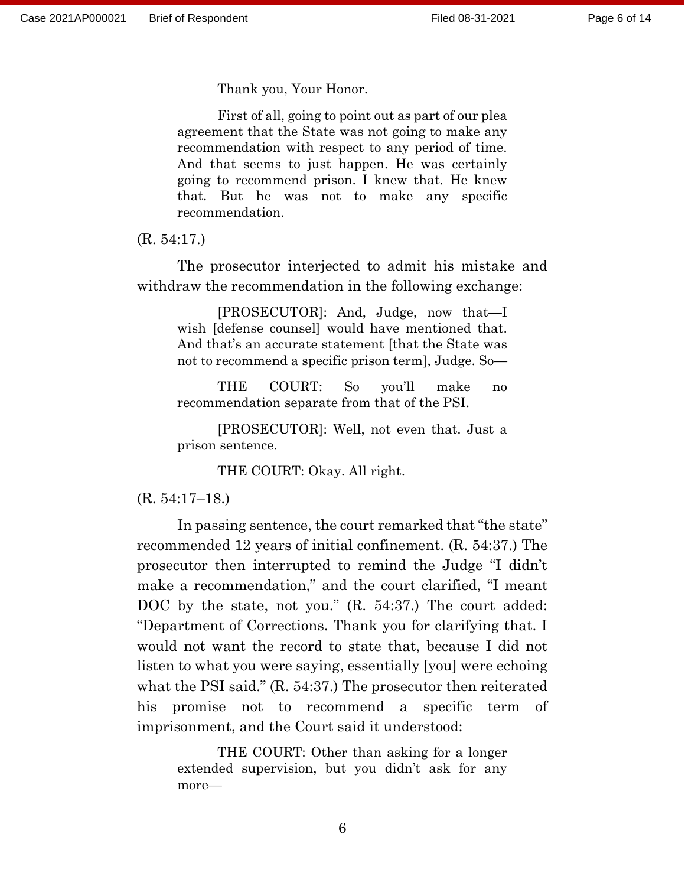Thank you, Your Honor.

First of all, going to point out as part of our plea agreement that the State was not going to make any recommendation with respect to any period of time. And that seems to just happen. He was certainly going to recommend prison. I knew that. He knew that. But he was not to make any specific recommendation.

(R. 54:17.)

The prosecutor interjected to admit his mistake and withdraw the recommendation in the following exchange:

[PROSECUTOR]: And, Judge, now that—I wish [defense counsel] would have mentioned that. And that's an accurate statement [that the State was not to recommend a specific prison term], Judge. So—

THE COURT: So you'll make no recommendation separate from that of the PSI.

[PROSECUTOR]: Well, not even that. Just a prison sentence.

THE COURT: Okay. All right.

(R. 54:17–18.)

In passing sentence, the court remarked that "the state" recommended 12 years of initial confinement. (R. 54:37.) The prosecutor then interrupted to remind the Judge "I didn't make a recommendation," and the court clarified, "I meant DOC by the state, not you." (R. 54:37.) The court added: "Department of Corrections. Thank you for clarifying that. I would not want the record to state that, because I did not listen to what you were saying, essentially [you] were echoing what the PSI said." (R. 54:37.) The prosecutor then reiterated his promise not to recommend a specific term of imprisonment, and the Court said it understood:

THE COURT: Other than asking for a longer extended supervision, but you didn't ask for any more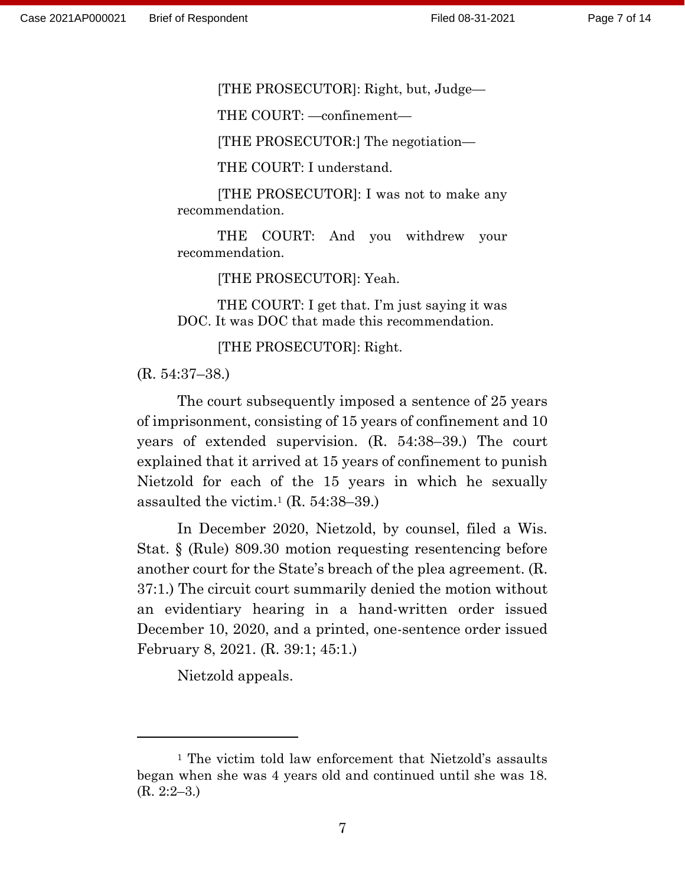[THE PROSECUTOR]: Right, but, Judge—

THE COURT: —confinement—

[THE PROSECUTOR:] The negotiation—

THE COURT: I understand.

[THE PROSECUTOR]: I was not to make any recommendation.

THE COURT: And you withdrew your recommendation.

[THE PROSECUTOR]: Yeah.

THE COURT: I get that. I'm just saying it was DOC. It was DOC that made this recommendation.

[THE PROSECUTOR]: Right.

(R. 54:37–38.)

The court subsequently imposed a sentence of 25 years of imprisonment, consisting of 15 years of confinement and 10 years of extended supervision. (R. 54:38–39.) The court explained that it arrived at 15 years of confinement to punish Nietzold for each of the 15 years in which he sexually assaulted the victim.<sup>1</sup> (R. 54:38–39.)

In December 2020, Nietzold, by counsel, filed a Wis. Stat. § (Rule) 809.30 motion requesting resentencing before another court for the State's breach of the plea agreement. (R. 37:1.) The circuit court summarily denied the motion without an evidentiary hearing in a hand-written order issued December 10, 2020, and a printed, one-sentence order issued February 8, 2021. (R. 39:1; 45:1.)

Nietzold appeals.

<sup>1</sup> The victim told law enforcement that Nietzold's assaults began when she was 4 years old and continued until she was 18. (R. 2:2–3.)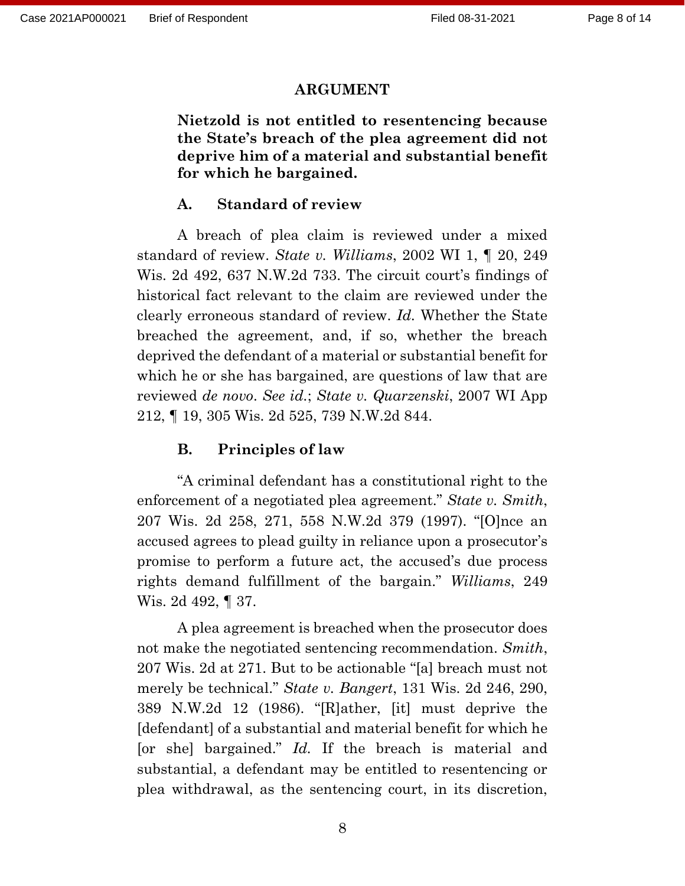#### **ARGUMENT**

**Nietzold is not entitled to resentencing because the State's breach of the plea agreement did not deprive him of a material and substantial benefit for which he bargained.** 

## **A. Standard of review**

A breach of plea claim is reviewed under a mixed standard of review. *State v. Williams*, 2002 WI 1, ¶ 20, 249 Wis. 2d 492, 637 N.W.2d 733. The circuit court's findings of historical fact relevant to the claim are reviewed under the clearly erroneous standard of review. *Id.* Whether the State breached the agreement, and, if so, whether the breach deprived the defendant of a material or substantial benefit for which he or she has bargained, are questions of law that are reviewed *de novo*. *See id.*; *State v. Quarzenski*, 2007 WI App 212, ¶ 19, 305 Wis. 2d 525, 739 N.W.2d 844.

#### **B. Principles of law**

"A criminal defendant has a constitutional right to the enforcement of a negotiated plea agreement." *State v. Smith*, 207 Wis. 2d 258, 271, 558 N.W.2d 379 (1997). "[O]nce an accused agrees to plead guilty in reliance upon a prosecutor's promise to perform a future act, the accused's due process rights demand fulfillment of the bargain." *Williams*, 249 Wis. 2d 492, ¶ 37.

A plea agreement is breached when the prosecutor does not make the negotiated sentencing recommendation. *Smith*, 207 Wis. 2d at 271. But to be actionable "[a] breach must not merely be technical." *State v. Bangert*, 131 Wis. 2d 246, 290, 389 N.W.2d 12 (1986). "[R]ather, [it] must deprive the [defendant] of a substantial and material benefit for which he [or she] bargained." *Id.* If the breach is material and substantial, a defendant may be entitled to resentencing or plea withdrawal, as the sentencing court, in its discretion,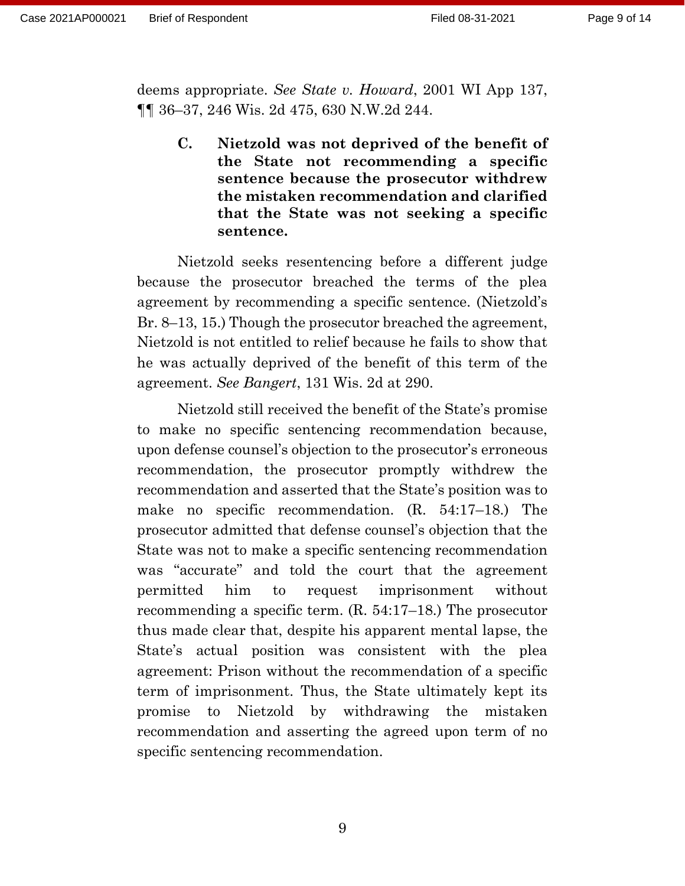deems appropriate. *See State v. Howard*, 2001 WI App 137, ¶¶ 36–37, 246 Wis. 2d 475, 630 N.W.2d 244.

**C. Nietzold was not deprived of the benefit of the State not recommending a specific sentence because the prosecutor withdrew the mistaken recommendation and clarified that the State was not seeking a specific sentence.** 

Nietzold seeks resentencing before a different judge because the prosecutor breached the terms of the plea agreement by recommending a specific sentence. (Nietzold's Br. 8–13, 15.) Though the prosecutor breached the agreement, Nietzold is not entitled to relief because he fails to show that he was actually deprived of the benefit of this term of the agreement. *See Bangert*, 131 Wis. 2d at 290.

Nietzold still received the benefit of the State's promise to make no specific sentencing recommendation because, upon defense counsel's objection to the prosecutor's erroneous recommendation, the prosecutor promptly withdrew the recommendation and asserted that the State's position was to make no specific recommendation. (R. 54:17–18.) The prosecutor admitted that defense counsel's objection that the State was not to make a specific sentencing recommendation was "accurate" and told the court that the agreement permitted him to request imprisonment without recommending a specific term. (R. 54:17–18.) The prosecutor thus made clear that, despite his apparent mental lapse, the State's actual position was consistent with the plea agreement: Prison without the recommendation of a specific term of imprisonment. Thus, the State ultimately kept its promise to Nietzold by withdrawing the mistaken recommendation and asserting the agreed upon term of no specific sentencing recommendation.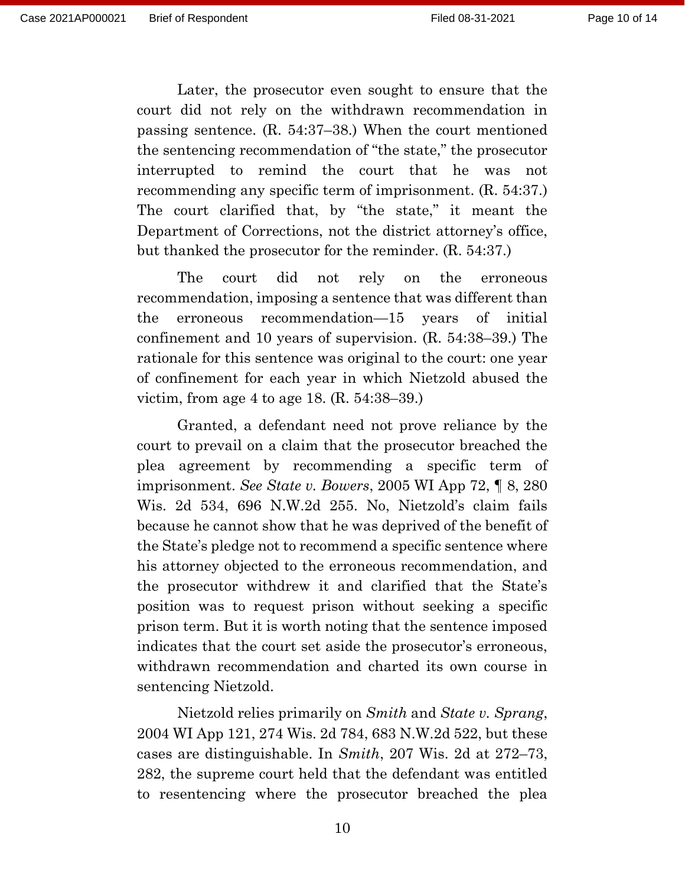Later, the prosecutor even sought to ensure that the court did not rely on the withdrawn recommendation in passing sentence. (R. 54:37–38.) When the court mentioned the sentencing recommendation of "the state," the prosecutor interrupted to remind the court that he was not recommending any specific term of imprisonment. (R. 54:37.) The court clarified that, by "the state," it meant the Department of Corrections, not the district attorney's office, but thanked the prosecutor for the reminder. (R. 54:37.)

The court did not rely on the erroneous recommendation, imposing a sentence that was different than the erroneous recommendation—15 years of initial confinement and 10 years of supervision. (R. 54:38–39.) The rationale for this sentence was original to the court: one year of confinement for each year in which Nietzold abused the victim, from age 4 to age 18. (R. 54:38–39.)

Granted, a defendant need not prove reliance by the court to prevail on a claim that the prosecutor breached the plea agreement by recommending a specific term of imprisonment. *See State v. Bowers*, 2005 WI App 72, ¶ 8, 280 Wis. 2d 534, 696 N.W.2d 255. No, Nietzold's claim fails because he cannot show that he was deprived of the benefit of the State's pledge not to recommend a specific sentence where his attorney objected to the erroneous recommendation, and the prosecutor withdrew it and clarified that the State's position was to request prison without seeking a specific prison term. But it is worth noting that the sentence imposed indicates that the court set aside the prosecutor's erroneous, withdrawn recommendation and charted its own course in sentencing Nietzold.

Nietzold relies primarily on *Smith* and *State v. Sprang*, 2004 WI App 121, 274 Wis. 2d 784, 683 N.W.2d 522, but these cases are distinguishable. In *Smith*, 207 Wis. 2d at 272–73, 282, the supreme court held that the defendant was entitled to resentencing where the prosecutor breached the plea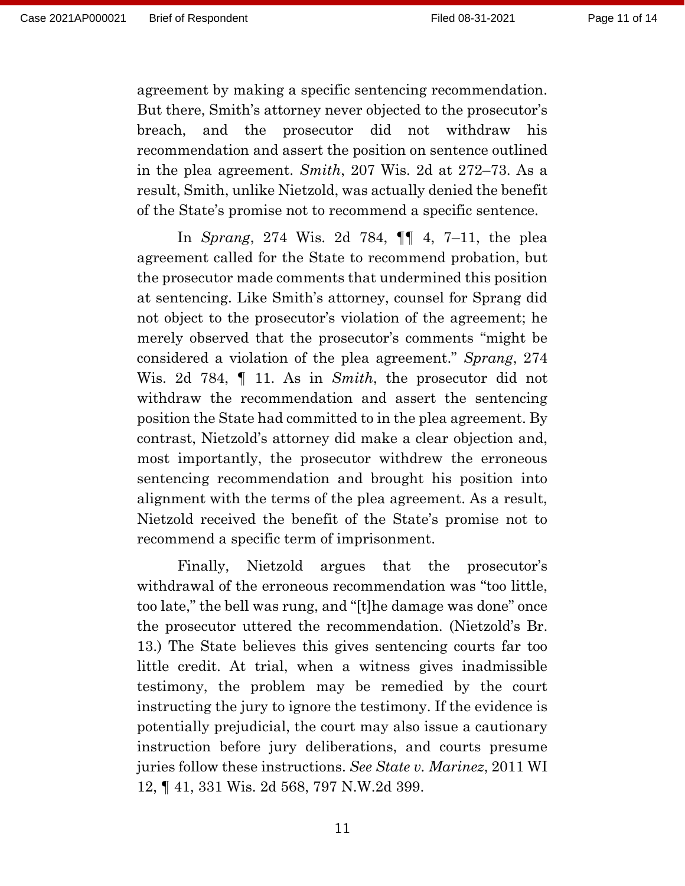agreement by making a specific sentencing recommendation. But there, Smith's attorney never objected to the prosecutor's breach, and the prosecutor did not withdraw his recommendation and assert the position on sentence outlined in the plea agreement. *Smith*, 207 Wis. 2d at 272–73. As a result, Smith, unlike Nietzold, was actually denied the benefit of the State's promise not to recommend a specific sentence.

In *Sprang*, 274 Wis. 2d 784, ¶¶ 4, 7–11, the plea agreement called for the State to recommend probation, but the prosecutor made comments that undermined this position at sentencing. Like Smith's attorney, counsel for Sprang did not object to the prosecutor's violation of the agreement; he merely observed that the prosecutor's comments "might be considered a violation of the plea agreement." *Sprang*, 274 Wis. 2d 784, ¶ 11. As in *Smith*, the prosecutor did not withdraw the recommendation and assert the sentencing position the State had committed to in the plea agreement. By contrast, Nietzold's attorney did make a clear objection and, most importantly, the prosecutor withdrew the erroneous sentencing recommendation and brought his position into alignment with the terms of the plea agreement. As a result, Nietzold received the benefit of the State's promise not to recommend a specific term of imprisonment.

Finally, Nietzold argues that the prosecutor's withdrawal of the erroneous recommendation was "too little, too late," the bell was rung, and "[t]he damage was done" once the prosecutor uttered the recommendation. (Nietzold's Br. 13.) The State believes this gives sentencing courts far too little credit. At trial, when a witness gives inadmissible testimony, the problem may be remedied by the court instructing the jury to ignore the testimony. If the evidence is potentially prejudicial, the court may also issue a cautionary instruction before jury deliberations, and courts presume juries follow these instructions. *See State v. Marinez*, 2011 WI 12, ¶ 41, 331 Wis. 2d 568, 797 N.W.2d 399.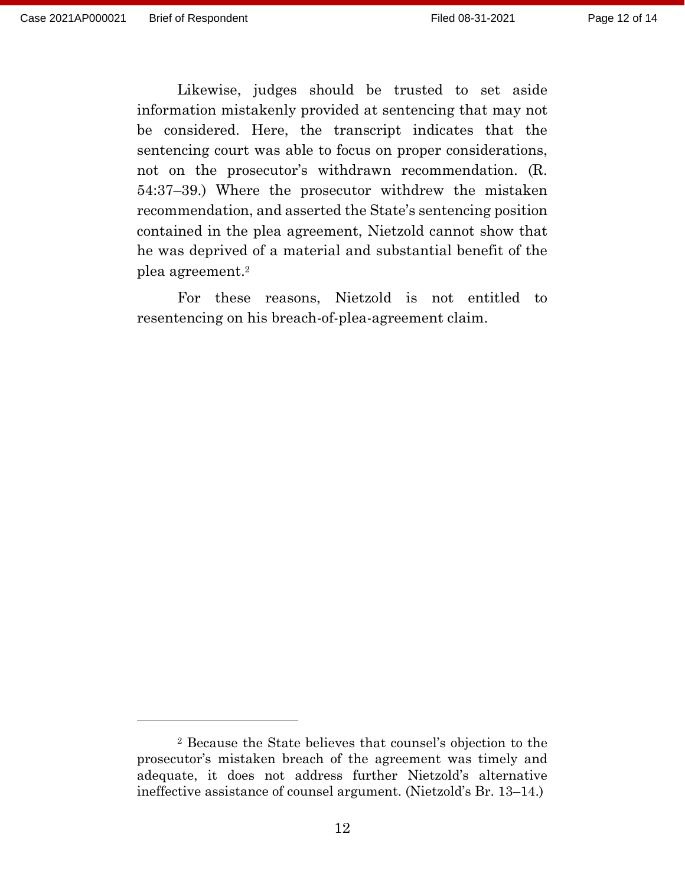Likewise, judges should be trusted to set aside information mistakenly provided at sentencing that may not be considered. Here, the transcript indicates that the sentencing court was able to focus on proper considerations, not on the prosecutor's withdrawn recommendation. (R. 54:37–39.) Where the prosecutor withdrew the mistaken recommendation, and asserted the State's sentencing position contained in the plea agreement, Nietzold cannot show that he was deprived of a material and substantial benefit of the plea agreement.<sup>2</sup>

For these reasons, Nietzold is not entitled to resentencing on his breach-of-plea-agreement claim.

<sup>2</sup> Because the State believes that counsel's objection to the prosecutor's mistaken breach of the agreement was timely and adequate, it does not address further Nietzold's alternative ineffective assistance of counsel argument. (Nietzold's Br. 13–14.)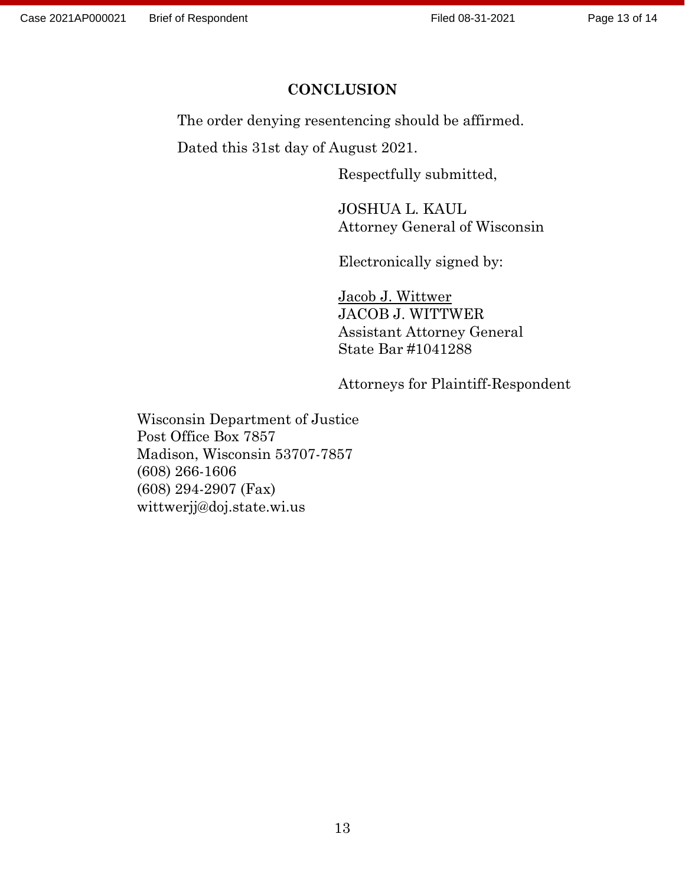## **CONCLUSION**

The order denying resentencing should be affirmed.

Dated this 31st day of August 2021.

Respectfully submitted,

JOSHUA L. KAUL Attorney General of Wisconsin

Electronically signed by:

Jacob J. Wittwer JACOB J. WITTWER Assistant Attorney General State Bar #1041288

Attorneys for Plaintiff-Respondent

Wisconsin Department of Justice Post Office Box 7857 Madison, Wisconsin 53707-7857 (608) 266-1606 (608) 294-2907 (Fax) wittwerjj@doj.state.wi.us